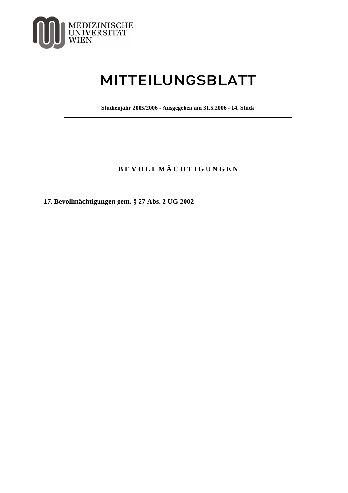

## MITTEILUNGSBLATT

**Studienjahr 2005/2006 - Ausgegeben am 31.5.2006 - 14. Stück**

## **B E V O L L M Ä C H T I G U N G E N**

**17. Bevollmächtigungen gem. § 27 Abs. 2 UG 2002**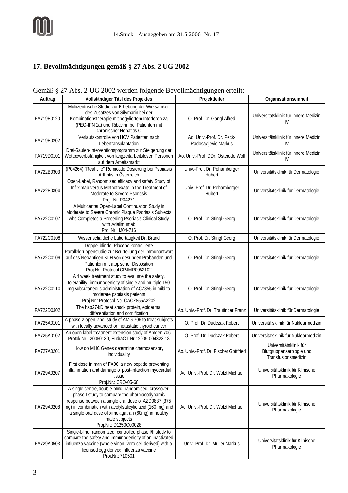## **17. Bevollmächtigungen gemäß § 27 Abs. 2 UG 2002**

## Gemäß § 27 Abs. 2 UG 2002 werden folgende Bevollmächtigungen erteilt:

| Auftrag    | Vollständiger Titel des Projektes                                                                                                                                                                                                                                                                                           | Projektleiter                                     | Organisationseinheit                                                      |
|------------|-----------------------------------------------------------------------------------------------------------------------------------------------------------------------------------------------------------------------------------------------------------------------------------------------------------------------------|---------------------------------------------------|---------------------------------------------------------------------------|
| FA719B0120 | Multizentrische Studie zur Erhebung der Wirksamkeit<br>des Zusatzes von Silymarin bei der<br>Kombinationstherapie mit pegyliertem Interferon 2a<br>(PEG-IFN 2a) und Ribavirin bei Patienten mit<br>chronischer Hepatitis C                                                                                                  | O. Prof. Dr. Gangl Alfred                         | Universitätsklinik für Innere Medizin<br>IV                               |
| FA719B0202 | Verlaufskontrolle von HCV Patienten nach<br>Lebertransplantation                                                                                                                                                                                                                                                            | Ao. Univ.-Prof. Dr. Peck-<br>Radosavljevic Markus | Universitätsklinik für Innere Medizin<br>IV                               |
| FA719D0101 | Drei-Säulen-Interventionsprogramm zur Steigerung der<br>Wettbewerbsfähigkeit von langzeitarbeitslosen Personen<br>auf dem Arbeitsmarkt                                                                                                                                                                                      | Ao. Univ.-Prof. DDr. Osterode Wolf                | Universitätsklinik für Innere Medizin<br>IV                               |
| FA722B0303 | (P04264) "Real Life" Remicade Dosierung bei Psoriasis<br>Arthritis in Österreich                                                                                                                                                                                                                                            | Univ.-Prof. Dr. Pehamberger<br>Hubert             | Universitätsklinik für Dermatologie                                       |
| FA722B0304 | Open-Label, Randomized efficacy and safety Study of<br>Infliximab versus Methotrexate in the Treatment of<br>Moderate to Severe Psoriasis<br>Proj.-Nr. P04271                                                                                                                                                               | Univ.-Prof. Dr. Pehamberger<br>Hubert             | Universitätsklinik für Dermatologie                                       |
| FA722C0107 | A Multicenter Open-Label Continuation Study in<br>Moderate to Severe Chronic Plaque Psoriasis Subjects<br>who Completed a Preceding Psoriasis Clinical Study<br>with Adalimumab<br>Proj.Nr.: M04-716                                                                                                                        | O. Prof. Dr. Stingl Georg                         | Universitätsklinik für Dermatologie                                       |
| FA722C0108 | Wissenschaftliche Labortätigkeit Dr. Brand                                                                                                                                                                                                                                                                                  | O. Prof. Dr. Stingl Georg                         | Universitätsklinik für Dermatologie                                       |
| FA722C0109 | Doppel-blinde, Placebo kontrollierte<br>Parallelgruppenstudie zur Beurteilung der Immunantwort<br>auf das Neoantigen KLH von gesunden Probanden und<br>Patienten mit atopischer Disposition<br>Proj.Nr.: Protocol CPJMR0052102                                                                                              | O. Prof. Dr. Stingl Georg                         | Universitätsklinik für Dermatologie                                       |
| FA722C0110 | A 4 week treatment study to evaluate the safety,<br>tolerability, immunogenicity of single and multiple 150<br>mg subcutaneous administration of ACZ855 in mild to<br>moderate psoriasis patients<br>Proj.Nr.: Protocol No. CACZ855A2202                                                                                    | O. Prof. Dr. Stingl Georg                         | Universitätsklinik für Dermatologie                                       |
| FA722D0302 | The hsp27-kD heat shock protein, epidermal<br>differentiation and cornification                                                                                                                                                                                                                                             | Ao. Univ.-Prof. Dr. Trautinger Franz              | Universitätsklinik für Dermatologie                                       |
| FA725A0101 | A phase 2 open label study of AMG 706 to treat subjects<br>with locally advanced or metastatic thyroid cancer                                                                                                                                                                                                               | O. Prof. Dr. Dudczak Robert                       | Universitätsklinik für Nuklearmedizin                                     |
| FA725A0102 | An open label treatment extension study of Amgen 706.<br>Protok.Nr.: 20050130, EudraCT Nr.: 2005-004323-18                                                                                                                                                                                                                  | O. Prof. Dr. Dudczak Robert                       | Universitätsklinik für Nuklearmedizin                                     |
| FA727A0201 | How do MHC Genes determine chemosensory<br>individuality                                                                                                                                                                                                                                                                    | Ao. Univ.-Prof. Dr. Fischer Gottfried             | Universitätsklinik für<br>Blutgruppenserologie und<br>Transfusionsmedizin |
| FA729A0207 | First dose in man of FX06, a new peptide preventing<br>inflammation and damage of post-infarction myocardial<br>tissue<br>Proj.Nr.: CRO-05-68                                                                                                                                                                               | Ao. Univ.-Prof. Dr. Wolzt Michael                 | Universitätsklinik für Klinische<br>Pharmakologie                         |
| FA729A0208 | A single centre, double-blind, randomised, crossover,<br>phase I study to compare the pharmacodynamic<br>response between a single oral dose of AZD0837 (375<br>mg) in combination with acetylsalicylic acid (160 mg) and<br>a single oral dose of ximelagatran (60mg) in healthy<br>male subjects<br>Proj.Nr.: D1250C00028 | Ao. Univ.-Prof. Dr. Wolzt Michael                 | Universitätsklinik für Klinische<br>Pharmakologie                         |
| FA729A0503 | Single-blind, randomized, controlled phase I/II study to<br>compare the safety and immunogenicity of an inactivated<br>influenza vaccine (whole virion, vero cell derived) with a<br>licensed egg derived influenza vaccine<br>Proj.Nr.: 710501                                                                             | Univ.-Prof. Dr. Müller Markus                     | Universitätsklinik für Klinische<br>Pharmakologie                         |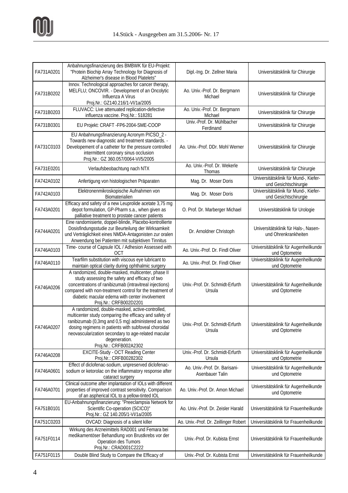

| FA731A0201 | Anbahnungsfinanzierung des BMBWK für EU-Projekt:<br>"Protein Biochip Array Technology for Diagnosis of<br>Alzheimer's disease in Blood Platelets"                                                                                                                                                                         | Dipl.-Ing. Dr. Zellner Maria                     | Universitätsklinik für Chirurgie                               |
|------------|---------------------------------------------------------------------------------------------------------------------------------------------------------------------------------------------------------------------------------------------------------------------------------------------------------------------------|--------------------------------------------------|----------------------------------------------------------------|
| FA731B0202 | Innov. Technological approaches for cancer therapy,<br>MELFLU; ONCOVIR. - Development of an Oncolytic<br>Influenza A Virus<br>Proj.Nr.: GZ140.216/1-VI/1a/2005                                                                                                                                                            | Ao. Univ.-Prof. Dr. Bergmann<br>Michael          | Universitätsklinik für Chirurgie                               |
| FA731B0203 | FLUVACC: Live attenuated replication-defective<br>influenza vaccine. Proj.Nr.: 518281                                                                                                                                                                                                                                     | Ao. Univ.-Prof. Dr. Bergmann<br>Michael          | Universitätsklinik für Chirurgie                               |
| FA731B0301 | EU Projekt: CRAFT - FP6-2004-SME-COOP                                                                                                                                                                                                                                                                                     | Univ.-Prof. Dr. Mühlbacher<br>Ferdinand          | Universitätsklinik für Chirurgie                               |
| FA731C0103 | EU Anbahnungsfinanzierung Acronym PICSO_2 -<br>Towards new diagnostic and treatment standards. -<br>Developement of a catheter for the pressure controlled<br>intermittent coronary sinus occlusion<br>Proj.Nr.: GZ 360.057/0064-VI/5/2005                                                                                | Ao. Univ.-Prof. DDr. Mohl Werner                 | Universitätsklinik für Chirurgie                               |
| FA731E0201 | Verlaufsbeobachtung nach NTX                                                                                                                                                                                                                                                                                              | Ao. Univ.-Prof. Dr. Wekerle<br>Thomas            | Universitätsklinik für Chirurgie                               |
| FA742A0102 | Anfertigung von histologischen Präparaten                                                                                                                                                                                                                                                                                 | Mag. Dr. Moser Doris                             | Universitätsklinik für Mund-, Kiefer-<br>und Gesichtschirurgie |
| FA742A0103 | Elektronenmikroskopische Aufnahmen von<br>Biomaterialien                                                                                                                                                                                                                                                                  | Mag. Dr. Moser Doris                             | Universitätsklinik für Mund-, Kiefer-<br>und Gesichtschirurgie |
| FA743A0201 | Efficacy and safety of a new Leuprolide acetate 3,75 mg<br>depot formulation, GP-Pharm s.a., when given as<br>palliative treatment to prostate cancer patients                                                                                                                                                            | O. Prof. Dr. Marberger Michael                   | Universitätsklinik für Urologie                                |
| FA744A0201 | Eine randomisierte, doppel-blinde, Placebo-kontrollierte<br>Dosisfindungsstudie zur Beurteilung der Wirksamkeit<br>und Verträglichkeit eines NMDA-Antagonisten zur oralen<br>Anwendung bei Patienten mit subjektiven Tinnitus                                                                                             | Dr. Arnoldner Christoph                          | Universitätsklinik für Hals-, Nasen-<br>und Ohrenkrankheiten   |
| FA746A0103 | Time- course of Capsule IOL / Adhesion Assessed with<br><b>OCT</b>                                                                                                                                                                                                                                                        | Ao. Univ.-Prof. Dr. Findl Oliver                 | Universitätsklinik für Augenheilkunde<br>und Optometrie        |
| FA746A0110 | Tearfilm substitution with viscous eye lubricant to<br>maintain optical clarity during ophthalmic surgery                                                                                                                                                                                                                 | Ao. Univ.-Prof. Dr. Findl Oliver                 | Universitätsklinik für Augenheilkunde<br>und Optometrie        |
| FA746A0206 | A randomized, double-masked, multicenter, phase II<br>study assessing the safety and efficacy of two<br>concentrations of ranibizumab (intravitreal injections)<br>compared with non-treatment control for the treatment of<br>diabetic macular edema with center involvement<br>Proj.Nr.: CRFB002D2201                   | Univ.-Prof. Dr. Schmidt-Erfurth<br>Ursula        | Universitätsklinik für Augenheilkunde<br>und Optometrie        |
| FA746A0207 | A randomized, double-masked, active-controlled,<br>multicenter study comparing the efficacy and safety of<br>ranibizumab (0,3mg and 0,5 mg) administered as two<br>dosing regimens in patients with subfoveal choroidal<br>neovascularization secondary to age-related macular<br>degeneration.<br>Proj.Nr.: CRFB002A2302 | Univ.-Prof. Dr. Schmidt-Erfurth<br>Ursula        | Universitätsklinik für Augenheilkunde<br>und Optometrie        |
| FA746A0208 | EXCITE-Study - OCT Reading Center<br>Proj.Nr.: CRFB00282302                                                                                                                                                                                                                                                               | Univ.-Prof. Dr. Schmidt-Erfurth<br>Ursula        | Universitätsklinik für Augenheilkunde<br>und Optometrie        |
| FA746A0601 | Effect of diclofenac-sodium, unpreserved diclofenac-<br>sodium or ketorolac on the inflammatory response after<br>cataract surgery                                                                                                                                                                                        | Ao. Univ.-Prof. Dr. Barisani-<br>Asenbauer Talin | Universitätsklinik für Augenheilkunde<br>und Optometrie        |
| FA746A0701 | Clinical outcome after implantation of IOLs with different<br>properties of improved contrast sensitivity. Comparison<br>of an aspherical IOL to a yellow-tinted IOL                                                                                                                                                      | Ao. Univ.-Prof. Dr. Amon Michael                 | Universitätsklinik für Augenheilkunde<br>und Optometrie        |
| FA751B0101 | EU-Anbahnungsfinanzierung: "Preeclampsia Network for<br>Scientific Co-operation (SCICO)"<br>Proj.Nr.: GZ 140.205/1-VI/1a/2005                                                                                                                                                                                             | Ao. Univ.-Prof. Dr. Zeisler Harald               | Universitätsklinik für Frauenheilkunde                         |
| FA751C0203 | OVCAD: Diagnosis of a silent killer                                                                                                                                                                                                                                                                                       | Ao. Univ.-Prof. Dr. Zeillinger Robert            | Universitätsklinik für Frauenheilkunde                         |
| FA751F0114 | Wirkung des Arzneimittels RAD001 und Femara bei<br>medikamentöser Behandlung von Brustkrebs vor der<br>Operation des Tumors<br>Proj.Nr.: CRAD001C2222                                                                                                                                                                     | Univ.-Prof. Dr. Kubista Ernst                    | Universitätsklinik für Frauenheilkunde                         |
| FA751F0115 | Double Blind Study to Compare the Efficacy of                                                                                                                                                                                                                                                                             | Univ.-Prof. Dr. Kubista Ernst                    | Universitätsklinik für Frauenheilkunde                         |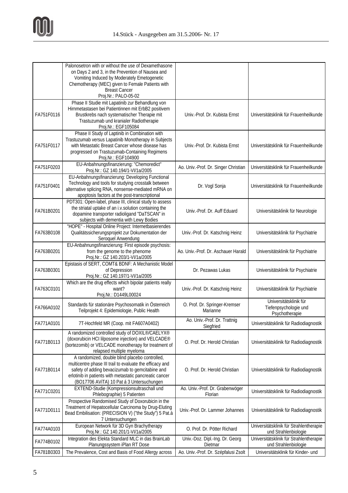

|            | Palonosetron with or without the use of Dexamethasone<br>on Days 2 and 3, in the Prevention of Nausea and<br>Vomiting Induced by Moderately Emetogenetic<br>Chemotherapy (MEC) given to Female Patients with<br><b>Breast Cancer</b><br>Proj.Nr.: PALO-05-02          |                                            |                                                                   |
|------------|-----------------------------------------------------------------------------------------------------------------------------------------------------------------------------------------------------------------------------------------------------------------------|--------------------------------------------|-------------------------------------------------------------------|
| FA751F0116 | Phase II Studie mit Lapatinib zur Behandlung von<br>Hirnmetastasen bei Patientinnen mit ErbB2 positivem<br>Brustkrebs nach systematischer Therapie mit<br>Trastuzumab und kranialer Radiotherapie<br>Proj.Nr.: EGF105084                                              | Univ.-Prof. Dr. Kubista Ernst              | Universitätsklinik für Frauenheilkunde                            |
| FA751F0117 | Phase II Study of Laptinib in Combination with<br>Trastuzumab versus Lapatinib Monotherapy in Subjects<br>with Metastatic Breast Cancer whose disease has<br>progressed on Trastuzumab-Containing Regimens<br>Proj.Nr.: EGF104900                                     | Univ.-Prof. Dr. Kubista Ernst              | Universitätsklinik für Frauenheilkunde                            |
| FA751F0203 | EU-Anbahnungsfinanzierung: "Chemoredict"<br>Proj.Nr.: GZ 140.194/1-VI/1a/2005                                                                                                                                                                                         | Ao. Univ.-Prof. Dr. Singer Christian       | Universitätsklinik für Frauenheilkunde                            |
| FA751F0401 | EU-Anbahnungsfinanzierung: Developing Functional<br>Technology and tools for studying crosstalk between<br>alternative splicing RNA, nonsense-mediated mRNA on<br>apoptosis factors at the post-transcriptional                                                       | Dr. Vogl Sonja                             | Universitätsklinik für Frauenheilkunde                            |
| FA761B0201 | PDT301: Open-label, phase III, clinical study to assess<br>the striatal uptake of an i.v.solution containing the<br>dopamine transporter radioligand "DaTSCAN" in<br>subjects with dementia with Lewy Bodies                                                          | Univ.-Prof. Dr. Auff Eduard                | Universitätsklinik für Neurologie                                 |
| FA763B0108 | "HOPE" - Hospital Online Project: Internetbasierendes<br>Qualitätssicherungsprojekt zur Dokumentation der<br>Seroquel Anwendung                                                                                                                                       | Univ.-Prof. Dr. Katschnig Heinz            | Universitätsklinik für Psychiatrie                                |
| FA763B0201 | EU-Anbahnungsfinanzierung: First episode psychosis:<br>from the genome to the phenome<br>Proj.Nr.: GZ 140.203/1-VI/1a/2005                                                                                                                                            | Ao. Univ.-Prof. Dr. Aschauer Harald        | Universitätsklinik für Psychiatrie                                |
| FA763B0301 | Epistasis of SERT, COMT& BDNF: A Mechanistic Model<br>of Depression<br>Proj.Nr.: GZ 140.197/1-VI/1a/2005                                                                                                                                                              | Dr. Pezawas Lukas                          | Universitätsklinik für Psychiatrie                                |
| FA763C0101 | Which are the drug effects which bipolar patients really<br>want?<br>Proj.Nr.: D1449L00024                                                                                                                                                                            | Univ.-Prof. Dr. Katschnig Heinz            | Universitätsklinik für Psychiatrie                                |
| FA766A0102 | Standards für stationäre Psychosomatik in Österreich<br>Teilprojekt 4: Epidemiologie, Public Health                                                                                                                                                                   | O. Prof. Dr. Springer-Kremser<br>Marianne  | Universitätsklinik für<br>Tiefenpsychologie und<br>Psychotherapie |
| FA771A0101 | 7T-Hochfeld MR (Coop. mit FA607A0402)                                                                                                                                                                                                                                 | Ao. Univ.-Prof. Dr. Trattnig<br>Siegfried  | Universitätsklinik für Radiodiagnostik                            |
| FA771B0113 | A randomized controlled study of DOXIL®/CAELYX®<br>(doxorubicin HCI lilposome injection) and VELCADE <sup>®</sup><br>(bortezomib) or VELCADE monotherapy for treatment of<br>relapsed multiple myeloma                                                                | O. Prof. Dr. Herold Christian              | Universitätsklinik für Radiodiagnostik                            |
| FA771B0114 | A randomized, double blind placebo controlled,<br>multicentre phase III trail to evaluate the efficacy and<br>safety of adding bevacizumab to gemcitabine and<br>erlotinib in patients with metastatic pancreatic cancer<br>(BO17706 AVITA) 10 Pat á 3 Untersuchungen | O. Prof. Dr. Herold Christian              | Universitätsklinik für Radiodiagnostik                            |
| FA771C0201 | EXTEND-Studie (Kompressionsultraschall und<br>Phlebographie) 5 Patienten                                                                                                                                                                                              | Ao. Univ.-Prof. Dr. Grabenwöger<br>Florian | Universitätsklinik für Radiodiagnostik                            |
| FA771D0111 | Prospective Randomised Study of Doxorubicin in the<br>Treatment of Hepatocellular Carcinoma by Drug-Eluting<br>Bead Embilisation: (PRECISION V) ("the Study") 5 Pat.à<br>7 Untersuchungen                                                                             | Univ.-Prof. Dr. Lammer Johannes            | Universitätsklinik für Radiodiagnostik                            |
| FA774A0103 | European Network für 3D Gyn Brachytherapy<br>Proj.Nr.: GZ 140.201/1-VI/1a/2005                                                                                                                                                                                        | O. Prof. Dr. Pötter Richard                | Universitätsklinik für Strahlentherapie<br>und Strahlenbiologie   |
| FA774B0102 | Integration des Elekta Standard MLC in das BrainLab<br>Planungssystem iPlan RT Dose                                                                                                                                                                                   | Univ.-Doz. Dipl.-Ing. Dr. Georg<br>Dietmar | Universitätsklinik für Strahlentherapie<br>und Strahlenbiologie   |
| FA781B0303 | The Prevalence, Cost and Basis of Food Allergy across                                                                                                                                                                                                                 | Ao. Univ.-Prof. Dr. Szépfalusi Zsolt       | Universitätsklinik für Kinder- und                                |